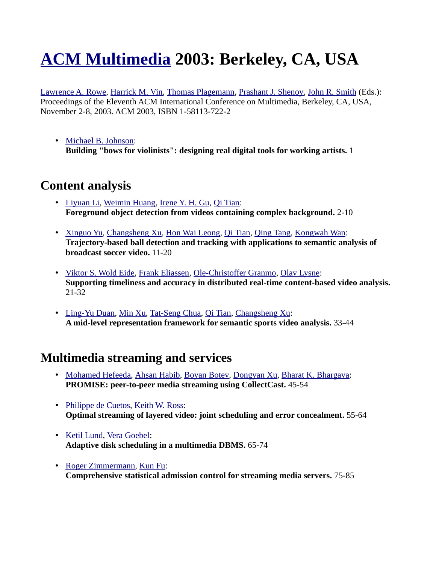# **[ACM Multimedia](http://www.informatik.uni-trier.de/~ley/db/conf/mm/index.html) 2003: Berkeley, CA, USA**

[Lawrence A. Rowe,](http://www.informatik.uni-trier.de/~ley/db/indices/a-tree/r/Rowe:Lawrence_A=.html) [Harrick M. Vin,](http://www.informatik.uni-trier.de/~ley/db/indices/a-tree/v/Vin:Harrick_M=.html) [Thomas Plagemann,](http://www.informatik.uni-trier.de/~ley/db/indices/a-tree/p/Plagemann:Thomas.html) [Prashant J. Shenoy,](http://www.informatik.uni-trier.de/~ley/db/indices/a-tree/s/Shenoy:Prashant_J=.html) [John R. Smith](http://www.informatik.uni-trier.de/~ley/db/indices/a-tree/s/Smith:John_R=.html) (Eds.): Proceedings of the Eleventh ACM International Conference on Multimedia, Berkeley, CA, USA, November 2-8, 2003. ACM 2003, ISBN 1-58113-722-2

• [Michael B. Johnson:](http://www.informatik.uni-trier.de/~ley/db/indices/a-tree/j/Johnson:Michael_B=.html) **Building "bows for violinists": designing real digital tools for working artists.** 1

# **Content analysis**

- • [Liyuan Li,](http://www.informatik.uni-trier.de/~ley/db/indices/a-tree/l/Li:Liyuan.html) [Weimin Huang,](http://www.informatik.uni-trier.de/~ley/db/indices/a-tree/h/Huang:Weimin.html) [Irene Y. H. Gu,](http://www.informatik.uni-trier.de/~ley/db/indices/a-tree/g/Gu:Irene_Y=_H=.html) [Qi Tian:](http://www.informatik.uni-trier.de/~ley/db/indices/a-tree/t/Tian:Qi.html) **Foreground object detection from videos containing complex background.** 2-10
- • [Xinguo Yu,](http://www.informatik.uni-trier.de/~ley/db/indices/a-tree/y/Yu:Xinguo.html) [Changsheng Xu,](http://www.informatik.uni-trier.de/~ley/db/indices/a-tree/x/Xu:Changsheng.html) [Hon Wai Leong,](http://www.informatik.uni-trier.de/~ley/db/indices/a-tree/l/Leong:Hon_Wai.html) [Qi Tian,](http://www.informatik.uni-trier.de/~ley/db/indices/a-tree/t/Tian:Qi.html) [Qing Tang,](http://www.informatik.uni-trier.de/~ley/db/indices/a-tree/t/Tang:Qing.html) [Kongwah Wan:](http://www.informatik.uni-trier.de/~ley/db/indices/a-tree/w/Wan:Kongwah.html) **Trajectory-based ball detection and tracking with applications to semantic analysis of broadcast soccer video.** 11-20
- • [Viktor S. Wold Eide,](http://www.informatik.uni-trier.de/~ley/db/indices/a-tree/e/Eide:Viktor_S=_Wold.html) [Frank Eliassen,](http://www.informatik.uni-trier.de/~ley/db/indices/a-tree/e/Eliassen:Frank.html) [Ole-Christoffer Granmo,](http://www.informatik.uni-trier.de/~ley/db/indices/a-tree/g/Granmo:Ole=Christoffer.html) [Olav Lysne:](http://www.informatik.uni-trier.de/~ley/db/indices/a-tree/l/Lysne:Olav.html) **Supporting timeliness and accuracy in distributed real-time content-based video analysis.**  21-32
- • [Ling-Yu Duan,](http://www.informatik.uni-trier.de/~ley/db/indices/a-tree/d/Duan:Ling=Yu.html) [Min Xu,](http://www.informatik.uni-trier.de/~ley/db/indices/a-tree/x/Xu:Min.html) [Tat-Seng Chua,](http://www.informatik.uni-trier.de/~ley/db/indices/a-tree/c/Chua:Tat=Seng.html) [Qi Tian,](http://www.informatik.uni-trier.de/~ley/db/indices/a-tree/t/Tian:Qi.html) [Changsheng Xu:](http://www.informatik.uni-trier.de/~ley/db/indices/a-tree/x/Xu:Changsheng.html) **A mid-level representation framework for semantic sports video analysis.** 33-44

## **Multimedia streaming and services**

- • [Mohamed Hefeeda,](http://www.informatik.uni-trier.de/~ley/db/indices/a-tree/h/Hefeeda:Mohamed.html) [Ahsan Habib,](http://www.informatik.uni-trier.de/~ley/db/indices/a-tree/h/Habib:Ahsan.html) Boyan Botey, [Dongyan Xu,](http://www.informatik.uni-trier.de/~ley/db/indices/a-tree/x/Xu:Dongyan.html) [Bharat K. Bhargava:](http://www.informatik.uni-trier.de/~ley/db/indices/a-tree/b/Bhargava:Bharat_K=.html) **PROMISE: peer-to-peer media streaming using CollectCast.** 45-54
- • [Philippe de Cuetos,](http://www.informatik.uni-trier.de/~ley/db/indices/a-tree/c/Cuetos:Philippe_de.html) [Keith W. Ross:](http://www.informatik.uni-trier.de/~ley/db/indices/a-tree/r/Ross:Keith_W=.html) **Optimal streaming of layered video: joint scheduling and error concealment.** 55-64
- • [Ketil Lund,](http://www.informatik.uni-trier.de/~ley/db/indices/a-tree/l/Lund:Ketil.html) [Vera Goebel:](http://www.informatik.uni-trier.de/~ley/db/indices/a-tree/g/Goebel:Vera.html) **Adaptive disk scheduling in a multimedia DBMS.** 65-74
- • [Roger Zimmermann,](http://www.informatik.uni-trier.de/~ley/db/indices/a-tree/z/Zimmermann:Roger.html) [Kun Fu:](http://www.informatik.uni-trier.de/~ley/db/indices/a-tree/f/Fu:Kun.html) **Comprehensive statistical admission control for streaming media servers.** 75-85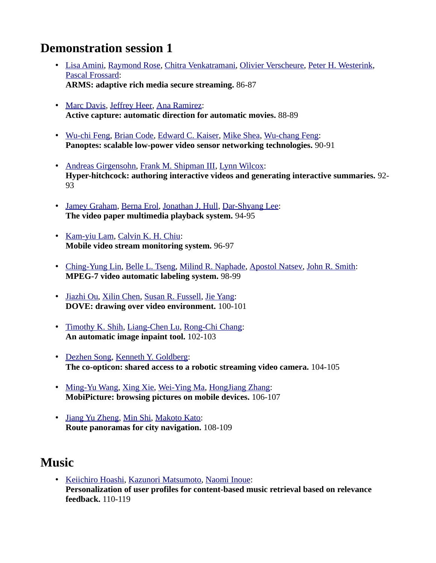## **Demonstration session 1**

- • [Lisa Amini,](http://www.informatik.uni-trier.de/~ley/db/indices/a-tree/a/Amini:Lisa.html) [Raymond Rose,](http://www.informatik.uni-trier.de/~ley/db/indices/a-tree/r/Rose:Raymond.html) [Chitra Venkatramani,](http://www.informatik.uni-trier.de/~ley/db/indices/a-tree/v/Venkatramani:Chitra.html) [Olivier Verscheure,](http://www.informatik.uni-trier.de/~ley/db/indices/a-tree/v/Verscheure:Olivier.html) [Peter H. Westerink,](http://www.informatik.uni-trier.de/~ley/db/indices/a-tree/w/Westerink:Peter_H=.html) [Pascal Frossard:](http://www.informatik.uni-trier.de/~ley/db/indices/a-tree/f/Frossard:Pascal.html) **ARMS: adaptive rich media secure streaming.** 86-87
- • [Marc Davis,](http://www.informatik.uni-trier.de/~ley/db/indices/a-tree/d/Davis:Marc.html) [Jeffrey Heer,](http://www.informatik.uni-trier.de/~ley/db/indices/a-tree/h/Heer:Jeffrey.html) [Ana Ramirez:](http://www.informatik.uni-trier.de/~ley/db/indices/a-tree/r/Ramirez:Ana.html) **Active capture: automatic direction for automatic movies.** 88-89
- • [Wu-chi Feng,](http://www.informatik.uni-trier.de/~ley/db/indices/a-tree/f/Feng:Wu=chi.html) [Brian Code,](http://www.informatik.uni-trier.de/~ley/db/indices/a-tree/c/Code:Brian.html) [Edward C. Kaiser,](http://www.informatik.uni-trier.de/~ley/db/indices/a-tree/k/Kaiser:Edward_C=.html) [Mike Shea,](http://www.informatik.uni-trier.de/~ley/db/indices/a-tree/s/Shea:Mike.html) [Wu-chang Feng:](http://www.informatik.uni-trier.de/~ley/db/indices/a-tree/f/Feng:Wu=chang.html) **Panoptes: scalable low-power video sensor networking technologies.** 90-91
- • [Andreas Girgensohn,](http://www.informatik.uni-trier.de/~ley/db/indices/a-tree/g/Girgensohn:Andreas.html) [Frank M. Shipman III,](http://www.informatik.uni-trier.de/~ley/db/indices/a-tree/s/Shipman_III:Frank_M=.html) [Lynn Wilcox:](http://www.informatik.uni-trier.de/~ley/db/indices/a-tree/w/Wilcox:Lynn.html) **Hyper-hitchcock: authoring interactive videos and generating interactive summaries.** 92- 93
- • [Jamey Graham,](http://www.informatik.uni-trier.de/~ley/db/indices/a-tree/g/Graham:Jamey.html) [Berna Erol,](http://www.informatik.uni-trier.de/~ley/db/indices/a-tree/e/Erol:Berna.html) [Jonathan J. Hull,](http://www.informatik.uni-trier.de/~ley/db/indices/a-tree/h/Hull:Jonathan_J=.html) [Dar-Shyang Lee:](http://www.informatik.uni-trier.de/~ley/db/indices/a-tree/l/Lee:Dar=Shyang.html) **The video paper multimedia playback system.** 94-95
- • [Kam-yiu Lam,](http://www.informatik.uni-trier.de/~ley/db/indices/a-tree/l/Lam:Kam=yiu.html) [Calvin K. H. Chiu:](http://www.informatik.uni-trier.de/~ley/db/indices/a-tree/c/Chiu:Calvin_K=_H=.html) **Mobile video stream monitoring system.** 96-97
- • [Ching-Yung Lin,](http://www.informatik.uni-trier.de/~ley/db/indices/a-tree/l/Lin:Ching=Yung.html) [Belle L. Tseng,](http://www.informatik.uni-trier.de/~ley/db/indices/a-tree/t/Tseng:Belle_L=.html) [Milind R. Naphade,](http://www.informatik.uni-trier.de/~ley/db/indices/a-tree/n/Naphade:Milind_R=.html) [Apostol Natsev,](http://www.informatik.uni-trier.de/~ley/db/indices/a-tree/n/Natsev:Apostol.html) [John R. Smith:](http://www.informatik.uni-trier.de/~ley/db/indices/a-tree/s/Smith:John_R=.html) **MPEG-7 video automatic labeling system.** 98-99
- • [Jiazhi Ou,](http://www.informatik.uni-trier.de/~ley/db/indices/a-tree/o/Ou:Jiazhi.html) [Xilin Chen,](http://www.informatik.uni-trier.de/~ley/db/indices/a-tree/c/Chen:Xilin.html) [Susan R. Fussell,](http://www.informatik.uni-trier.de/~ley/db/indices/a-tree/f/Fussell:Susan_R=.html) [Jie Yang:](http://www.informatik.uni-trier.de/~ley/db/indices/a-tree/y/Yang_0001:Jie.html) **DOVE: drawing over video environment.** 100-101
- • [Timothy K. Shih,](http://www.informatik.uni-trier.de/~ley/db/indices/a-tree/s/Shih:Timothy_K=.html) [Liang-Chen Lu,](http://www.informatik.uni-trier.de/~ley/db/indices/a-tree/l/Lu:Liang=Chen.html) [Rong-Chi Chang:](http://www.informatik.uni-trier.de/~ley/db/indices/a-tree/c/Chang:Rong=Chi.html) **An automatic image inpaint tool.** 102-103
- • [Dezhen Song,](http://www.informatik.uni-trier.de/~ley/db/indices/a-tree/s/Song:Dezhen.html) [Kenneth Y. Goldberg:](http://www.informatik.uni-trier.de/~ley/db/indices/a-tree/g/Goldberg:Kenneth_Y=.html) **The co-opticon: shared access to a robotic streaming video camera.** 104-105
- • [Ming-Yu Wang,](http://www.informatik.uni-trier.de/~ley/db/indices/a-tree/w/Wang:Ming=Yu.html) [Xing Xie,](http://www.informatik.uni-trier.de/~ley/db/indices/a-tree/x/Xie:Xing.html) [Wei-Ying Ma,](http://www.informatik.uni-trier.de/~ley/db/indices/a-tree/m/Ma:Wei=Ying.html) [HongJiang Zhang:](http://www.informatik.uni-trier.de/~ley/db/indices/a-tree/z/Zhang:HongJiang.html) **MobiPicture: browsing pictures on mobile devices.** 106-107
- • [Jiang Yu Zheng,](http://www.informatik.uni-trier.de/~ley/db/indices/a-tree/z/Zheng:Jiang_Yu.html) [Min Shi,](http://www.informatik.uni-trier.de/~ley/db/indices/a-tree/s/Shi:Min.html) [Makoto Kato:](http://www.informatik.uni-trier.de/~ley/db/indices/a-tree/k/Kato:Makoto.html) **Route panoramas for city navigation.** 108-109

## **Music**

• [Keiichiro Hoashi,](http://www.informatik.uni-trier.de/~ley/db/indices/a-tree/h/Hoashi:Keiichiro.html) [Kazunori Matsumoto,](http://www.informatik.uni-trier.de/~ley/db/indices/a-tree/m/Matsumoto:Kazunori.html) [Naomi Inoue:](http://www.informatik.uni-trier.de/~ley/db/indices/a-tree/i/Inoue:Naomi.html) **Personalization of user profiles for content-based music retrieval based on relevance feedback.** 110-119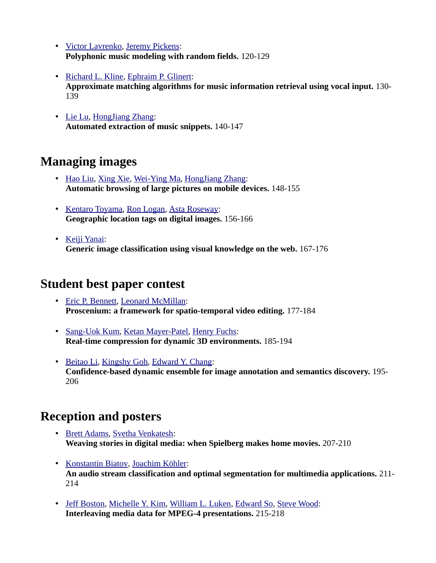- • [Victor Lavrenko,](http://www.informatik.uni-trier.de/~ley/db/indices/a-tree/l/Lavrenko:Victor.html) [Jeremy Pickens:](http://www.informatik.uni-trier.de/~ley/db/indices/a-tree/p/Pickens:Jeremy.html) **Polyphonic music modeling with random fields.** 120-129
- • [Richard L. Kline,](http://www.informatik.uni-trier.de/~ley/db/indices/a-tree/k/Kline:Richard_L=.html) [Ephraim P. Glinert:](http://www.informatik.uni-trier.de/~ley/db/indices/a-tree/g/Glinert:Ephraim_P=.html) **Approximate matching algorithms for music information retrieval using vocal input.** 130- 139
- • [Lie Lu,](http://www.informatik.uni-trier.de/~ley/db/indices/a-tree/l/Lu:Lie.html) [HongJiang Zhang:](http://www.informatik.uni-trier.de/~ley/db/indices/a-tree/z/Zhang:HongJiang.html) **Automated extraction of music snippets.** 140-147

## **Managing images**

- • [Hao Liu,](http://www.informatik.uni-trier.de/~ley/db/indices/a-tree/l/Liu:Hao.html) [Xing Xie,](http://www.informatik.uni-trier.de/~ley/db/indices/a-tree/x/Xie:Xing.html) [Wei-Ying Ma,](http://www.informatik.uni-trier.de/~ley/db/indices/a-tree/m/Ma:Wei=Ying.html) [HongJiang Zhang:](http://www.informatik.uni-trier.de/~ley/db/indices/a-tree/z/Zhang:HongJiang.html) **Automatic browsing of large pictures on mobile devices.** 148-155
- • [Kentaro Toyama,](http://www.informatik.uni-trier.de/~ley/db/indices/a-tree/t/Toyama:Kentaro.html) [Ron Logan,](http://www.informatik.uni-trier.de/~ley/db/indices/a-tree/l/Logan:Ron.html) [Asta Roseway:](http://www.informatik.uni-trier.de/~ley/db/indices/a-tree/r/Roseway:Asta.html) **Geographic location tags on digital images.** 156-166
- • [Keiji Yanai:](http://www.informatik.uni-trier.de/~ley/db/indices/a-tree/y/Yanai:Keiji.html) **Generic image classification using visual knowledge on the web.** 167-176

## **Student best paper contest**

- • [Eric P. Bennett,](http://www.informatik.uni-trier.de/~ley/db/indices/a-tree/b/Bennett:Eric_P=.html) [Leonard McMillan:](http://www.informatik.uni-trier.de/~ley/db/indices/a-tree/m/McMillan:Leonard.html) **Proscenium: a framework for spatio-temporal video editing.** 177-184
- • [Sang-Uok Kum,](http://www.informatik.uni-trier.de/~ley/db/indices/a-tree/k/Kum:Sang=Uok.html) [Ketan Mayer-Patel,](http://www.informatik.uni-trier.de/~ley/db/indices/a-tree/m/Mayer=Patel:Ketan.html) [Henry Fuchs:](http://www.informatik.uni-trier.de/~ley/db/indices/a-tree/f/Fuchs:Henry.html) **Real-time compression for dynamic 3D environments.** 185-194
- • [Beitao Li,](http://www.informatik.uni-trier.de/~ley/db/indices/a-tree/l/Li:Beitao.html) [Kingshy Goh,](http://www.informatik.uni-trier.de/~ley/db/indices/a-tree/g/Goh:Kingshy.html) [Edward Y. Chang:](http://www.informatik.uni-trier.de/~ley/db/indices/a-tree/c/Chang:Edward_Y=.html) **Confidence-based dynamic ensemble for image annotation and semantics discovery.** 195- 206

## **Reception and posters**

- • [Brett Adams,](http://www.informatik.uni-trier.de/~ley/db/indices/a-tree/a/Adams:Brett.html) [Svetha Venkatesh:](http://www.informatik.uni-trier.de/~ley/db/indices/a-tree/v/Venkatesh:Svetha.html) **Weaving stories in digital media: when Spielberg makes home movies.** 207-210
- • [Konstantin Biatov,](http://www.informatik.uni-trier.de/~ley/db/indices/a-tree/b/Biatov:Konstantin.html) [Joachim Köhler:](http://www.informatik.uni-trier.de/~ley/db/indices/a-tree/k/K=ouml=hler:Joachim.html) **An audio stream classification and optimal segmentation for multimedia applications.** 211- 214
- • [Jeff Boston,](http://www.informatik.uni-trier.de/~ley/db/indices/a-tree/b/Boston:Jeff.html) [Michelle Y. Kim,](http://www.informatik.uni-trier.de/~ley/db/indices/a-tree/k/Kim:Michelle_Y=.html) [William L. Luken,](http://www.informatik.uni-trier.de/~ley/db/indices/a-tree/l/Luken:William_L=.html) [Edward So,](http://www.informatik.uni-trier.de/~ley/db/indices/a-tree/s/So:Edward.html) [Steve Wood:](http://www.informatik.uni-trier.de/~ley/db/indices/a-tree/w/Wood:Steve.html) **Interleaving media data for MPEG-4 presentations.** 215-218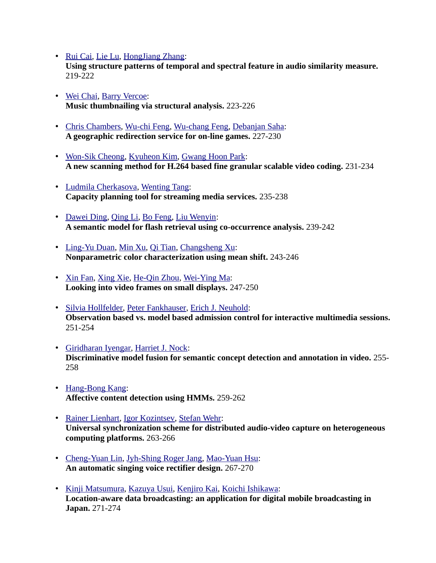- • [Rui Cai,](http://www.informatik.uni-trier.de/~ley/db/indices/a-tree/c/Cai:Rui.html) [Lie Lu,](http://www.informatik.uni-trier.de/~ley/db/indices/a-tree/l/Lu:Lie.html) [HongJiang Zhang:](http://www.informatik.uni-trier.de/~ley/db/indices/a-tree/z/Zhang:HongJiang.html) **Using structure patterns of temporal and spectral feature in audio similarity measure.**  219-222
- • [Wei Chai,](http://www.informatik.uni-trier.de/~ley/db/indices/a-tree/c/Chai:Wei.html) [Barry Vercoe:](http://www.informatik.uni-trier.de/~ley/db/indices/a-tree/v/Vercoe:Barry.html) **Music thumbnailing via structural analysis.** 223-226
- • [Chris Chambers,](http://www.informatik.uni-trier.de/~ley/db/indices/a-tree/c/Chambers:Chris.html) [Wu-chi Feng,](http://www.informatik.uni-trier.de/~ley/db/indices/a-tree/f/Feng:Wu=chi.html) [Wu-chang Feng,](http://www.informatik.uni-trier.de/~ley/db/indices/a-tree/f/Feng:Wu=chang.html) [Debanjan Saha:](http://www.informatik.uni-trier.de/~ley/db/indices/a-tree/s/Saha:Debanjan.html) **A geographic redirection service for on-line games.** 227-230
- • [Won-Sik Cheong,](http://www.informatik.uni-trier.de/~ley/db/indices/a-tree/c/Cheong:Won=Sik.html) [Kyuheon Kim,](http://www.informatik.uni-trier.de/~ley/db/indices/a-tree/k/Kim:Kyuheon.html) [Gwang Hoon Park:](http://www.informatik.uni-trier.de/~ley/db/indices/a-tree/p/Park:Gwang_Hoon.html) **A new scanning method for H.264 based fine granular scalable video coding.** 231-234
- • [Ludmila Cherkasova,](http://www.informatik.uni-trier.de/~ley/db/indices/a-tree/c/Cherkasova:Ludmila.html) [Wenting Tang:](http://www.informatik.uni-trier.de/~ley/db/indices/a-tree/t/Tang:Wenting.html) **Capacity planning tool for streaming media services.** 235-238
- • [Dawei Ding,](http://www.informatik.uni-trier.de/~ley/db/indices/a-tree/d/Ding:Dawei.html) [Qing Li,](http://www.informatik.uni-trier.de/~ley/db/indices/a-tree/l/Li:Qing.html) [Bo Feng,](http://www.informatik.uni-trier.de/~ley/db/indices/a-tree/f/Feng:Bo.html) [Liu Wenyin:](http://www.informatik.uni-trier.de/~ley/db/indices/a-tree/w/Wenyin:Liu.html) **A semantic model for flash retrieval using co-occurrence analysis.** 239-242
- • [Ling-Yu Duan,](http://www.informatik.uni-trier.de/~ley/db/indices/a-tree/d/Duan:Ling=Yu.html) [Min Xu,](http://www.informatik.uni-trier.de/~ley/db/indices/a-tree/x/Xu:Min.html) [Qi Tian,](http://www.informatik.uni-trier.de/~ley/db/indices/a-tree/t/Tian:Qi.html) [Changsheng Xu:](http://www.informatik.uni-trier.de/~ley/db/indices/a-tree/x/Xu:Changsheng.html) **Nonparametric color characterization using mean shift.** 243-246
- • [Xin Fan,](http://www.informatik.uni-trier.de/~ley/db/indices/a-tree/f/Fan:Xin.html) [Xing Xie,](http://www.informatik.uni-trier.de/~ley/db/indices/a-tree/x/Xie:Xing.html) [He-Qin Zhou,](http://www.informatik.uni-trier.de/~ley/db/indices/a-tree/z/Zhou:He=Qin.html) [Wei-Ying Ma:](http://www.informatik.uni-trier.de/~ley/db/indices/a-tree/m/Ma:Wei=Ying.html) **Looking into video frames on small displays.** 247-250
- • [Silvia Hollfelder,](http://www.informatik.uni-trier.de/~ley/db/indices/a-tree/h/Hollfelder:Silvia.html) [Peter Fankhauser,](http://www.informatik.uni-trier.de/~ley/db/indices/a-tree/f/Fankhauser:Peter.html) [Erich J. Neuhold:](http://www.informatik.uni-trier.de/~ley/db/indices/a-tree/n/Neuhold:Erich_J=.html) **Observation based vs. model based admission control for interactive multimedia sessions.**  251-254
- • [Giridharan Iyengar,](http://www.informatik.uni-trier.de/~ley/db/indices/a-tree/i/Iyengar:Giridharan.html) [Harriet J. Nock:](http://www.informatik.uni-trier.de/~ley/db/indices/a-tree/n/Nock:Harriet_J=.html) **Discriminative model fusion for semantic concept detection and annotation in video.** 255- 258
- • [Hang-Bong Kang:](http://www.informatik.uni-trier.de/~ley/db/indices/a-tree/k/Kang:Hang=Bong.html) **Affective content detection using HMMs.** 259-262
- • [Rainer Lienhart,](http://www.informatik.uni-trier.de/~ley/db/indices/a-tree/l/Lienhart:Rainer.html) [Igor Kozintsev,](http://www.informatik.uni-trier.de/~ley/db/indices/a-tree/k/Kozintsev:Igor.html) [Stefan Wehr:](http://www.informatik.uni-trier.de/~ley/db/indices/a-tree/w/Wehr:Stefan.html) **Universal synchronization scheme for distributed audio-video capture on heterogeneous computing platforms.** 263-266
- • [Cheng-Yuan Lin,](http://www.informatik.uni-trier.de/~ley/db/indices/a-tree/l/Lin:Cheng=Yuan.html) [Jyh-Shing Roger Jang,](http://www.informatik.uni-trier.de/~ley/db/indices/a-tree/j/Jang:Jyh=Shing_Roger.html) [Mao-Yuan Hsu:](http://www.informatik.uni-trier.de/~ley/db/indices/a-tree/h/Hsu:Mao=Yuan.html) **An automatic singing voice rectifier design.** 267-270
- • [Kinji Matsumura,](http://www.informatik.uni-trier.de/~ley/db/indices/a-tree/m/Matsumura:Kinji.html) [Kazuya Usui,](http://www.informatik.uni-trier.de/~ley/db/indices/a-tree/u/Usui:Kazuya.html) [Kenjiro Kai,](http://www.informatik.uni-trier.de/~ley/db/indices/a-tree/k/Kai:Kenjiro.html) [Koichi Ishikawa:](http://www.informatik.uni-trier.de/~ley/db/indices/a-tree/i/Ishikawa:Koichi.html) **Location-aware data broadcasting: an application for digital mobile broadcasting in Japan.** 271-274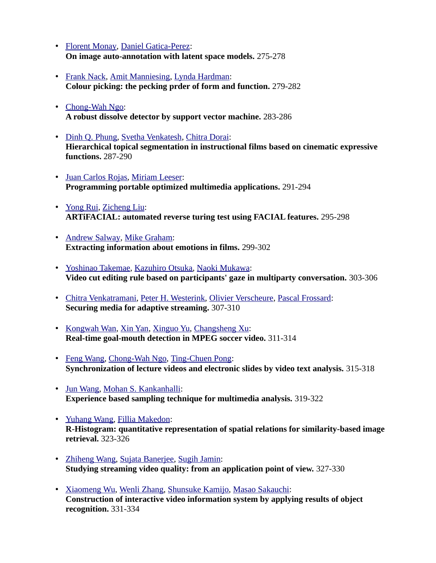- • [Florent Monay,](http://www.informatik.uni-trier.de/~ley/db/indices/a-tree/m/Monay:Florent.html) [Daniel Gatica-Perez:](http://www.informatik.uni-trier.de/~ley/db/indices/a-tree/g/Gatica=Perez:Daniel.html) **On image auto-annotation with latent space models.** 275-278
- • [Frank Nack,](http://www.informatik.uni-trier.de/~ley/db/indices/a-tree/n/Nack:Frank.html) [Amit Manniesing,](http://www.informatik.uni-trier.de/~ley/db/indices/a-tree/m/Manniesing:Amit.html) [Lynda Hardman:](http://www.informatik.uni-trier.de/~ley/db/indices/a-tree/h/Hardman:Lynda.html) **Colour picking: the pecking prder of form and function.** 279-282
- • [Chong-Wah Ngo:](http://www.informatik.uni-trier.de/~ley/db/indices/a-tree/n/Ngo:Chong=Wah.html) **A robust dissolve detector by support vector machine.** 283-286
- • [Dinh Q. Phung,](http://www.informatik.uni-trier.de/~ley/db/indices/a-tree/p/Phung:Dinh_Q=.html) [Svetha Venkatesh,](http://www.informatik.uni-trier.de/~ley/db/indices/a-tree/v/Venkatesh:Svetha.html) [Chitra Dorai:](http://www.informatik.uni-trier.de/~ley/db/indices/a-tree/d/Dorai:Chitra.html) **Hierarchical topical segmentation in instructional films based on cinematic expressive functions.** 287-290
- • [Juan Carlos Rojas,](http://www.informatik.uni-trier.de/~ley/db/indices/a-tree/r/Rojas:Juan_Carlos.html) [Miriam Leeser:](http://www.informatik.uni-trier.de/~ley/db/indices/a-tree/l/Leeser:Miriam.html) **Programming portable optimized multimedia applications.** 291-294
- • [Yong Rui,](http://www.informatik.uni-trier.de/~ley/db/indices/a-tree/r/Rui:Yong.html) [Zicheng Liu:](http://www.informatik.uni-trier.de/~ley/db/indices/a-tree/l/Liu:Zicheng.html) **ARTiFACIAL: automated reverse turing test using FACIAL features.** 295-298
- • [Andrew Salway,](http://www.informatik.uni-trier.de/~ley/db/indices/a-tree/s/Salway:Andrew.html) [Mike Graham:](http://www.informatik.uni-trier.de/~ley/db/indices/a-tree/g/Graham:Mike.html) **Extracting information about emotions in films.** 299-302
- • [Yoshinao Takemae,](http://www.informatik.uni-trier.de/~ley/db/indices/a-tree/t/Takemae:Yoshinao.html) [Kazuhiro Otsuka,](http://www.informatik.uni-trier.de/~ley/db/indices/a-tree/o/Otsuka:Kazuhiro.html) [Naoki Mukawa:](http://www.informatik.uni-trier.de/~ley/db/indices/a-tree/m/Mukawa:Naoki.html) **Video cut editing rule based on participants' gaze in multiparty conversation.** 303-306
- • [Chitra Venkatramani,](http://www.informatik.uni-trier.de/~ley/db/indices/a-tree/v/Venkatramani:Chitra.html) [Peter H. Westerink,](http://www.informatik.uni-trier.de/~ley/db/indices/a-tree/w/Westerink:Peter_H=.html) [Olivier Verscheure,](http://www.informatik.uni-trier.de/~ley/db/indices/a-tree/v/Verscheure:Olivier.html) [Pascal Frossard:](http://www.informatik.uni-trier.de/~ley/db/indices/a-tree/f/Frossard:Pascal.html) **Securing media for adaptive streaming.** 307-310
- • [Kongwah Wan,](http://www.informatik.uni-trier.de/~ley/db/indices/a-tree/w/Wan:Kongwah.html) [Xin Yan,](http://www.informatik.uni-trier.de/~ley/db/indices/a-tree/y/Yan_0001:Xin.html) [Xinguo Yu,](http://www.informatik.uni-trier.de/~ley/db/indices/a-tree/y/Yu:Xinguo.html) [Changsheng Xu:](http://www.informatik.uni-trier.de/~ley/db/indices/a-tree/x/Xu:Changsheng.html) **Real-time goal-mouth detection in MPEG soccer video.** 311-314
- • [Feng Wang,](http://www.informatik.uni-trier.de/~ley/db/indices/a-tree/w/Wang:Feng.html) [Chong-Wah Ngo,](http://www.informatik.uni-trier.de/~ley/db/indices/a-tree/n/Ngo:Chong=Wah.html) [Ting-Chuen Pong:](http://www.informatik.uni-trier.de/~ley/db/indices/a-tree/p/Pong:Ting=Chuen.html) **Synchronization of lecture videos and electronic slides by video text analysis.** 315-318
- • [Jun Wang,](http://www.informatik.uni-trier.de/~ley/db/indices/a-tree/w/Wang:Jun.html) [Mohan S. Kankanhalli:](http://www.informatik.uni-trier.de/~ley/db/indices/a-tree/k/Kankanhalli:Mohan_S=.html) **Experience based sampling technique for multimedia analysis.** 319-322
- • [Yuhang Wang,](http://www.informatik.uni-trier.de/~ley/db/indices/a-tree/w/Wang:Yuhang.html) [Fillia Makedon:](http://www.informatik.uni-trier.de/~ley/db/indices/a-tree/m/Makedon:Fillia.html) **R-Histogram: quantitative representation of spatial relations for similarity-based image retrieval.** 323-326
- • [Zhiheng Wang,](http://www.informatik.uni-trier.de/~ley/db/indices/a-tree/w/Wang:Zhiheng.html) [Sujata Banerjee,](http://www.informatik.uni-trier.de/~ley/db/indices/a-tree/b/Banerjee:Sujata.html) [Sugih Jamin:](http://www.informatik.uni-trier.de/~ley/db/indices/a-tree/j/Jamin:Sugih.html) **Studying streaming video quality: from an application point of view.** 327-330
- • [Xiaomeng Wu,](http://www.informatik.uni-trier.de/~ley/db/indices/a-tree/w/Wu:Xiaomeng.html) [Wenli Zhang,](http://www.informatik.uni-trier.de/~ley/db/indices/a-tree/z/Zhang:Wenli.html) [Shunsuke Kamijo,](http://www.informatik.uni-trier.de/~ley/db/indices/a-tree/k/Kamijo:Shunsuke.html) [Masao Sakauchi:](http://www.informatik.uni-trier.de/~ley/db/indices/a-tree/s/Sakauchi:Masao.html) **Construction of interactive video information system by applying results of object recognition.** 331-334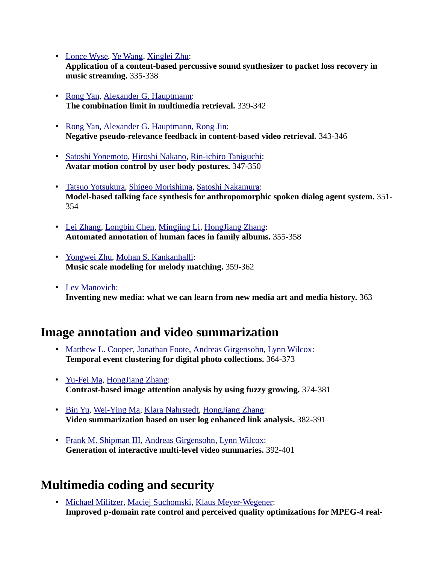- • [Lonce Wyse,](http://www.informatik.uni-trier.de/~ley/db/indices/a-tree/w/Wyse:Lonce.html) [Ye Wang,](http://www.informatik.uni-trier.de/~ley/db/indices/a-tree/w/Wang:Ye.html) [Xinglei Zhu:](http://www.informatik.uni-trier.de/~ley/db/indices/a-tree/z/Zhu:Xinglei.html) **Application of a content-based percussive sound synthesizer to packet loss recovery in music streaming.** 335-338
- • [Rong Yan,](http://www.informatik.uni-trier.de/~ley/db/indices/a-tree/y/Yan:Rong.html) [Alexander G. Hauptmann:](http://www.informatik.uni-trier.de/~ley/db/indices/a-tree/h/Hauptmann:Alexander_G=.html) **The combination limit in multimedia retrieval.** 339-342
- • [Rong Yan,](http://www.informatik.uni-trier.de/~ley/db/indices/a-tree/y/Yan:Rong.html) [Alexander G. Hauptmann,](http://www.informatik.uni-trier.de/~ley/db/indices/a-tree/h/Hauptmann:Alexander_G=.html) [Rong Jin:](http://www.informatik.uni-trier.de/~ley/db/indices/a-tree/j/Jin:Rong.html) **Negative pseudo-relevance feedback in content-based video retrieval.** 343-346
- • [Satoshi Yonemoto,](http://www.informatik.uni-trier.de/~ley/db/indices/a-tree/y/Yonemoto:Satoshi.html) [Hiroshi Nakano,](http://www.informatik.uni-trier.de/~ley/db/indices/a-tree/n/Nakano:Hiroshi.html) [Rin-ichiro Taniguchi:](http://www.informatik.uni-trier.de/~ley/db/indices/a-tree/t/Taniguchi:Rin=ichiro.html) **Avatar motion control by user body postures.** 347-350
- • [Tatsuo Yotsukura,](http://www.informatik.uni-trier.de/~ley/db/indices/a-tree/y/Yotsukura:Tatsuo.html) [Shigeo Morishima,](http://www.informatik.uni-trier.de/~ley/db/indices/a-tree/m/Morishima:Shigeo.html) [Satoshi Nakamura:](http://www.informatik.uni-trier.de/~ley/db/indices/a-tree/n/Nakamura:Satoshi.html) **Model-based talking face synthesis for anthropomorphic spoken dialog agent system.** 351- 354
- • [Lei Zhang,](http://www.informatik.uni-trier.de/~ley/db/indices/a-tree/z/Zhang_0001:Lei.html) [Longbin Chen,](http://www.informatik.uni-trier.de/~ley/db/indices/a-tree/c/Chen:Longbin.html) [Mingjing Li,](http://www.informatik.uni-trier.de/~ley/db/indices/a-tree/l/Li:Mingjing.html) [HongJiang Zhang:](http://www.informatik.uni-trier.de/~ley/db/indices/a-tree/z/Zhang:HongJiang.html) **Automated annotation of human faces in family albums.** 355-358
- • [Yongwei Zhu,](http://www.informatik.uni-trier.de/~ley/db/indices/a-tree/z/Zhu:Yongwei.html) [Mohan S. Kankanhalli:](http://www.informatik.uni-trier.de/~ley/db/indices/a-tree/k/Kankanhalli:Mohan_S=.html) **Music scale modeling for melody matching.** 359-362
- • [Lev Manovich:](http://www.informatik.uni-trier.de/~ley/db/indices/a-tree/m/Manovich:Lev.html) **Inventing new media: what we can learn from new media art and media history.** 363

## **Image annotation and video summarization**

- • [Matthew L. Cooper,](http://www.informatik.uni-trier.de/~ley/db/indices/a-tree/c/Cooper:Matthew_L=.html) [Jonathan Foote,](http://www.informatik.uni-trier.de/~ley/db/indices/a-tree/f/Foote:Jonathan.html) [Andreas Girgensohn,](http://www.informatik.uni-trier.de/~ley/db/indices/a-tree/g/Girgensohn:Andreas.html) [Lynn Wilcox:](http://www.informatik.uni-trier.de/~ley/db/indices/a-tree/w/Wilcox:Lynn.html) **Temporal event clustering for digital photo collections.** 364-373
- • [Yu-Fei Ma,](http://www.informatik.uni-trier.de/~ley/db/indices/a-tree/m/Ma:Yu=Fei.html) [HongJiang Zhang:](http://www.informatik.uni-trier.de/~ley/db/indices/a-tree/z/Zhang:HongJiang.html) **Contrast-based image attention analysis by using fuzzy growing.** 374-381
- • [Bin Yu,](http://www.informatik.uni-trier.de/~ley/db/indices/a-tree/y/Yu:Bin.html) [Wei-Ying Ma,](http://www.informatik.uni-trier.de/~ley/db/indices/a-tree/m/Ma:Wei=Ying.html) [Klara Nahrstedt,](http://www.informatik.uni-trier.de/~ley/db/indices/a-tree/n/Nahrstedt:Klara.html) [HongJiang Zhang:](http://www.informatik.uni-trier.de/~ley/db/indices/a-tree/z/Zhang:HongJiang.html) **Video summarization based on user log enhanced link analysis.** 382-391
- • [Frank M. Shipman III,](http://www.informatik.uni-trier.de/~ley/db/indices/a-tree/s/Shipman_III:Frank_M=.html) [Andreas Girgensohn,](http://www.informatik.uni-trier.de/~ley/db/indices/a-tree/g/Girgensohn:Andreas.html) [Lynn Wilcox:](http://www.informatik.uni-trier.de/~ley/db/indices/a-tree/w/Wilcox:Lynn.html) **Generation of interactive multi-level video summaries.** 392-401

# **Multimedia coding and security**

• [Michael Militzer,](http://www.informatik.uni-trier.de/~ley/db/indices/a-tree/m/Militzer:Michael.html) [Maciej Suchomski,](http://www.informatik.uni-trier.de/~ley/db/indices/a-tree/s/Suchomski:Maciej.html) [Klaus Meyer-Wegener:](http://www.informatik.uni-trier.de/~ley/db/indices/a-tree/m/Meyer=Wegener:Klaus.html) **Improved p-domain rate control and perceived quality optimizations for MPEG-4 real-**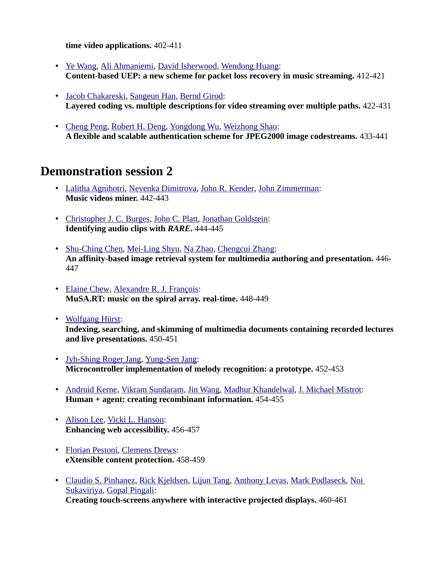**time video applications.** 402-411

- • [Ye Wang,](http://www.informatik.uni-trier.de/~ley/db/indices/a-tree/w/Wang:Ye.html) [Ali Ahmaniemi,](http://www.informatik.uni-trier.de/~ley/db/indices/a-tree/a/Ahmaniemi:Ali.html) [David Isherwood,](http://www.informatik.uni-trier.de/~ley/db/indices/a-tree/i/Isherwood:David.html) [Wendong Huang:](http://www.informatik.uni-trier.de/~ley/db/indices/a-tree/h/Huang:Wendong.html) **Content-based UEP: a new scheme for packet loss recovery in music streaming.** 412-421
- • [Jacob Chakareski,](http://www.informatik.uni-trier.de/~ley/db/indices/a-tree/c/Chakareski:Jacob.html) [Sangeun Han,](http://www.informatik.uni-trier.de/~ley/db/indices/a-tree/h/Han:Sangeun.html) [Bernd Girod:](http://www.informatik.uni-trier.de/~ley/db/indices/a-tree/g/Girod:Bernd.html) **Layered coding vs. multiple descriptions for video streaming over multiple paths.** 422-431
- • [Cheng Peng,](http://www.informatik.uni-trier.de/~ley/db/indices/a-tree/p/Peng:Cheng.html) [Robert H. Deng,](http://www.informatik.uni-trier.de/~ley/db/indices/a-tree/d/Deng:Robert_H=.html) [Yongdong Wu,](http://www.informatik.uni-trier.de/~ley/db/indices/a-tree/w/Wu:Yongdong.html) [Weizhong Shao:](http://www.informatik.uni-trier.de/~ley/db/indices/a-tree/s/Shao:Weizhong.html) **A flexible and scalable authentication scheme for JPEG2000 image codestreams.** 433-441

#### **Demonstration session 2**

- • [Lalitha Agnihotri,](http://www.informatik.uni-trier.de/~ley/db/indices/a-tree/a/Agnihotri:Lalitha.html) [Nevenka Dimitrova,](http://www.informatik.uni-trier.de/~ley/db/indices/a-tree/d/Dimitrova:Nevenka.html) [John R. Kender,](http://www.informatik.uni-trier.de/~ley/db/indices/a-tree/k/Kender:John_R=.html) [John Zimmerman:](http://www.informatik.uni-trier.de/~ley/db/indices/a-tree/z/Zimmerman:John.html) **Music videos miner.** 442-443
- • [Christopher J. C. Burges,](http://www.informatik.uni-trier.de/~ley/db/indices/a-tree/b/Burges:Christopher_J=_C=.html) [John C. Platt,](http://www.informatik.uni-trier.de/~ley/db/indices/a-tree/p/Platt:John_C=.html) [Jonathan Goldstein:](http://www.informatik.uni-trier.de/~ley/db/indices/a-tree/g/Goldstein:Jonathan.html) **Identifying audio clips with** *RARE***.** 444-445
- • [Shu-Ching Chen,](http://www.informatik.uni-trier.de/~ley/db/indices/a-tree/c/Chen:Shu=Ching.html) [Mei-Ling Shyu,](http://www.informatik.uni-trier.de/~ley/db/indices/a-tree/s/Shyu:Mei=Ling.html) [Na Zhao,](http://www.informatik.uni-trier.de/~ley/db/indices/a-tree/z/Zhao:Na.html) [Chengcui Zhang:](http://www.informatik.uni-trier.de/~ley/db/indices/a-tree/z/Zhang:Chengcui.html) **An affinity-based image retrieval system for multimedia authoring and presentation.** 446- 447
- • [Elaine Chew,](http://www.informatik.uni-trier.de/~ley/db/indices/a-tree/c/Chew:Elaine.html) [Alexandre R. J. François:](http://www.informatik.uni-trier.de/~ley/db/indices/a-tree/f/Fran=ccedil=ois:Alexandre_R=_J=.html) **MuSA.RT: music on the spiral array. real-time.** 448-449
- • [Wolfgang Hürst:](http://www.informatik.uni-trier.de/~ley/db/indices/a-tree/h/H=uuml=rst:Wolfgang.html) **Indexing, searching, and skimming of multimedia documents containing recorded lectures and live presentations.** 450-451
- • [Jyh-Shing Roger Jang,](http://www.informatik.uni-trier.de/~ley/db/indices/a-tree/j/Jang:Jyh=Shing_Roger.html) [Yung-Sen Jang:](http://www.informatik.uni-trier.de/~ley/db/indices/a-tree/j/Jang:Yung=Sen.html) **Microcontroller implementation of melody recognition: a prototype.** 452-453
- • [Andruid Kerne,](http://www.informatik.uni-trier.de/~ley/db/indices/a-tree/k/Kerne:Andruid.html) [Vikram Sundaram,](http://www.informatik.uni-trier.de/~ley/db/indices/a-tree/s/Sundaram:Vikram.html) [Jin Wang,](http://www.informatik.uni-trier.de/~ley/db/indices/a-tree/w/Wang:Jin.html) [Madhur Khandelwal,](http://www.informatik.uni-trier.de/~ley/db/indices/a-tree/k/Khandelwal:Madhur.html) [J. Michael Mistrot:](http://www.informatik.uni-trier.de/~ley/db/indices/a-tree/m/Mistrot:J=_Michael.html) **Human + agent: creating recombinant information.** 454-455
- • [Alison Lee,](http://www.informatik.uni-trier.de/~ley/db/indices/a-tree/l/Lee:Alison.html) [Vicki L. Hanson:](http://www.informatik.uni-trier.de/~ley/db/indices/a-tree/h/Hanson:Vicki_L=.html) **Enhancing web accessibility.** 456-457
- • [Florian Pestoni,](http://www.informatik.uni-trier.de/~ley/db/indices/a-tree/p/Pestoni:Florian.html) [Clemens Drews:](http://www.informatik.uni-trier.de/~ley/db/indices/a-tree/d/Drews:Clemens.html) **eXtensible content protection.** 458-459
- • [Claudio S. Pinhanez,](http://www.informatik.uni-trier.de/~ley/db/indices/a-tree/p/Pinhanez:Claudio_S=.html) [Rick Kjeldsen,](http://www.informatik.uni-trier.de/~ley/db/indices/a-tree/k/Kjeldsen:Rick.html) [Lijun Tang,](http://www.informatik.uni-trier.de/~ley/db/indices/a-tree/t/Tang:Lijun.html) [Anthony Levas,](http://www.informatik.uni-trier.de/~ley/db/indices/a-tree/l/Levas:Anthony.html) [Mark Podlaseck,](http://www.informatik.uni-trier.de/~ley/db/indices/a-tree/p/Podlaseck:Mark.html) [Noi](http://www.informatik.uni-trier.de/~ley/db/indices/a-tree/s/Sukaviriya:Noi.html)  [Sukaviriya,](http://www.informatik.uni-trier.de/~ley/db/indices/a-tree/s/Sukaviriya:Noi.html) [Gopal Pingali:](http://www.informatik.uni-trier.de/~ley/db/indices/a-tree/p/Pingali:Gopal.html) **Creating touch-screens anywhere with interactive projected displays.** 460-461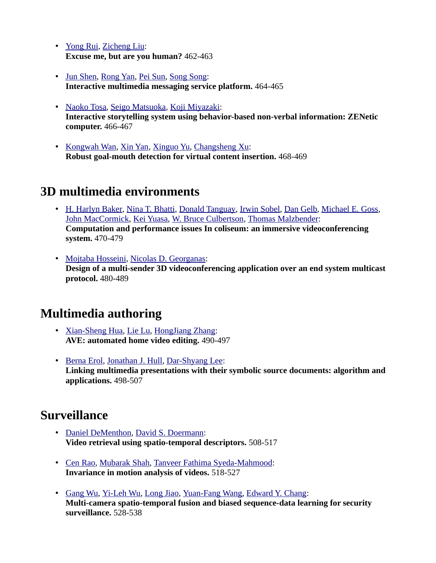- • [Yong Rui,](http://www.informatik.uni-trier.de/~ley/db/indices/a-tree/r/Rui:Yong.html) [Zicheng Liu:](http://www.informatik.uni-trier.de/~ley/db/indices/a-tree/l/Liu:Zicheng.html) **Excuse me, but are you human?** 462-463
- • [Jun Shen,](http://www.informatik.uni-trier.de/~ley/db/indices/a-tree/s/Shen:Jun.html) [Rong Yan,](http://www.informatik.uni-trier.de/~ley/db/indices/a-tree/y/Yan:Rong.html) [Pei Sun,](http://www.informatik.uni-trier.de/~ley/db/indices/a-tree/s/Sun:Pei.html) [Song Song:](http://www.informatik.uni-trier.de/~ley/db/indices/a-tree/s/Song:Song.html) **Interactive multimedia messaging service platform.** 464-465
- • [Naoko Tosa,](http://www.informatik.uni-trier.de/~ley/db/indices/a-tree/t/Tosa:Naoko.html) [Seigo Matsuoka,](http://www.informatik.uni-trier.de/~ley/db/indices/a-tree/m/Matsuoka:Seigo.html) [Koji Miyazaki:](http://www.informatik.uni-trier.de/~ley/db/indices/a-tree/m/Miyazaki:Koji.html) **Interactive storytelling system using behavior-based non-verbal information: ZENetic computer.** 466-467
- • [Kongwah Wan,](http://www.informatik.uni-trier.de/~ley/db/indices/a-tree/w/Wan:Kongwah.html) [Xin Yan,](http://www.informatik.uni-trier.de/~ley/db/indices/a-tree/y/Yan_0001:Xin.html) [Xinguo Yu,](http://www.informatik.uni-trier.de/~ley/db/indices/a-tree/y/Yu:Xinguo.html) [Changsheng Xu:](http://www.informatik.uni-trier.de/~ley/db/indices/a-tree/x/Xu:Changsheng.html) **Robust goal-mouth detection for virtual content insertion.** 468-469

## **3D multimedia environments**

- • [H. Harlyn Baker,](http://www.informatik.uni-trier.de/~ley/db/indices/a-tree/b/Baker:H=_Harlyn.html) [Nina T. Bhatti,](http://www.informatik.uni-trier.de/~ley/db/indices/a-tree/b/Bhatti:Nina_T=.html) [Donald Tanguay,](http://www.informatik.uni-trier.de/~ley/db/indices/a-tree/t/Tanguay:Donald.html) [Irwin Sobel,](http://www.informatik.uni-trier.de/~ley/db/indices/a-tree/s/Sobel:Irwin.html) [Dan Gelb,](http://www.informatik.uni-trier.de/~ley/db/indices/a-tree/g/Gelb:Dan.html) [Michael E. Goss,](http://www.informatik.uni-trier.de/~ley/db/indices/a-tree/g/Goss:Michael_E=.html) [John MacCormick,](http://www.informatik.uni-trier.de/~ley/db/indices/a-tree/m/MacCormick:John.html) [Kei Yuasa,](http://www.informatik.uni-trier.de/~ley/db/indices/a-tree/y/Yuasa:Kei.html) [W. Bruce Culbertson,](http://www.informatik.uni-trier.de/~ley/db/indices/a-tree/c/Culbertson:W=_Bruce.html) [Thomas Malzbender:](http://www.informatik.uni-trier.de/~ley/db/indices/a-tree/m/Malzbender:Thomas.html) **Computation and performance issues In coliseum: an immersive videoconferencing system.** 470-479
- • [Mojtaba Hosseini,](http://www.informatik.uni-trier.de/~ley/db/indices/a-tree/h/Hosseini:Mojtaba.html) [Nicolas D. Georganas:](http://www.informatik.uni-trier.de/~ley/db/indices/a-tree/g/Georganas:Nicolas_D=.html) **Design of a multi-sender 3D videoconferencing application over an end system multicast protocol.** 480-489

## **Multimedia authoring**

- • [Xian-Sheng Hua,](http://www.informatik.uni-trier.de/~ley/db/indices/a-tree/h/Hua:Xian=Sheng.html) [Lie Lu,](http://www.informatik.uni-trier.de/~ley/db/indices/a-tree/l/Lu:Lie.html) [HongJiang Zhang:](http://www.informatik.uni-trier.de/~ley/db/indices/a-tree/z/Zhang:HongJiang.html) **AVE: automated home video editing.** 490-497
- • [Berna Erol,](http://www.informatik.uni-trier.de/~ley/db/indices/a-tree/e/Erol:Berna.html) [Jonathan J. Hull,](http://www.informatik.uni-trier.de/~ley/db/indices/a-tree/h/Hull:Jonathan_J=.html) [Dar-Shyang Lee:](http://www.informatik.uni-trier.de/~ley/db/indices/a-tree/l/Lee:Dar=Shyang.html) **Linking multimedia presentations with their symbolic source documents: algorithm and applications.** 498-507

## **Surveillance**

- • [Daniel DeMenthon,](http://www.informatik.uni-trier.de/~ley/db/indices/a-tree/d/DeMenthon:Daniel.html) [David S. Doermann:](http://www.informatik.uni-trier.de/~ley/db/indices/a-tree/d/Doermann:David_S=.html) **Video retrieval using spatio-temporal descriptors.** 508-517
- • [Cen Rao,](http://www.informatik.uni-trier.de/~ley/db/indices/a-tree/r/Rao:Cen.html) [Mubarak Shah,](http://www.informatik.uni-trier.de/~ley/db/indices/a-tree/s/Shah:Mubarak.html) [Tanveer Fathima Syeda-Mahmood:](http://www.informatik.uni-trier.de/~ley/db/indices/a-tree/s/Syeda=Mahmood:Tanveer_Fathima.html) **Invariance in motion analysis of videos.** 518-527
- • [Gang Wu,](http://www.informatik.uni-trier.de/~ley/db/indices/a-tree/w/Wu:Gang.html) [Yi-Leh Wu,](http://www.informatik.uni-trier.de/~ley/db/indices/a-tree/w/Wu:Yi=Leh.html) [Long Jiao,](http://www.informatik.uni-trier.de/~ley/db/indices/a-tree/j/Jiao:Long.html) [Yuan-Fang Wang,](http://www.informatik.uni-trier.de/~ley/db/indices/a-tree/w/Wang:Yuan=Fang.html) [Edward Y. Chang:](http://www.informatik.uni-trier.de/~ley/db/indices/a-tree/c/Chang:Edward_Y=.html) **Multi-camera spatio-temporal fusion and biased sequence-data learning for security surveillance.** 528-538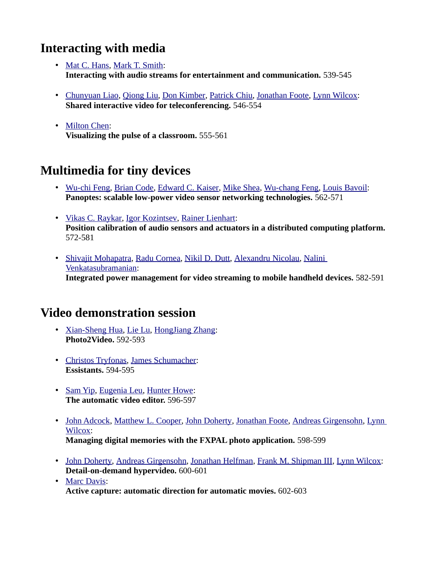## **Interacting with media**

- • [Mat C. Hans,](http://www.informatik.uni-trier.de/~ley/db/indices/a-tree/h/Hans:Mat_C=.html) [Mark T. Smith:](http://www.informatik.uni-trier.de/~ley/db/indices/a-tree/s/Smith:Mark_T=.html) **Interacting with audio streams for entertainment and communication.** 539-545
- • [Chunyuan Liao,](http://www.informatik.uni-trier.de/~ley/db/indices/a-tree/l/Liao:Chunyuan.html) [Qiong Liu,](http://www.informatik.uni-trier.de/~ley/db/indices/a-tree/l/Liu:Qiong.html) [Don Kimber,](http://www.informatik.uni-trier.de/~ley/db/indices/a-tree/k/Kimber:Don.html) [Patrick Chiu,](http://www.informatik.uni-trier.de/~ley/db/indices/a-tree/c/Chiu:Patrick.html) [Jonathan Foote,](http://www.informatik.uni-trier.de/~ley/db/indices/a-tree/f/Foote:Jonathan.html) [Lynn Wilcox:](http://www.informatik.uni-trier.de/~ley/db/indices/a-tree/w/Wilcox:Lynn.html) **Shared interactive video for teleconferencing.** 546-554
- • [Milton Chen:](http://www.informatik.uni-trier.de/~ley/db/indices/a-tree/c/Chen:Milton.html) **Visualizing the pulse of a classroom.** 555-561

# **Multimedia for tiny devices**

- • [Wu-chi Feng,](http://www.informatik.uni-trier.de/~ley/db/indices/a-tree/f/Feng:Wu=chi.html) [Brian Code,](http://www.informatik.uni-trier.de/~ley/db/indices/a-tree/c/Code:Brian.html) [Edward C. Kaiser,](http://www.informatik.uni-trier.de/~ley/db/indices/a-tree/k/Kaiser:Edward_C=.html) [Mike Shea,](http://www.informatik.uni-trier.de/~ley/db/indices/a-tree/s/Shea:Mike.html) [Wu-chang Feng,](http://www.informatik.uni-trier.de/~ley/db/indices/a-tree/f/Feng:Wu=chang.html) [Louis Bavoil:](http://www.informatik.uni-trier.de/~ley/db/indices/a-tree/b/Bavoil:Louis.html) **Panoptes: scalable low-power video sensor networking technologies.** 562-571
- • [Vikas C. Raykar,](http://www.informatik.uni-trier.de/~ley/db/indices/a-tree/r/Raykar:Vikas_C=.html) [Igor Kozintsev,](http://www.informatik.uni-trier.de/~ley/db/indices/a-tree/k/Kozintsev:Igor.html) [Rainer Lienhart:](http://www.informatik.uni-trier.de/~ley/db/indices/a-tree/l/Lienhart:Rainer.html) **Position calibration of audio sensors and actuators in a distributed computing platform.**  572-581
- • [Shivajit Mohapatra,](http://www.informatik.uni-trier.de/~ley/db/indices/a-tree/m/Mohapatra:Shivajit.html) [Radu Cornea,](http://www.informatik.uni-trier.de/~ley/db/indices/a-tree/c/Cornea:Radu.html) [Nikil D. Dutt,](http://www.informatik.uni-trier.de/~ley/db/indices/a-tree/d/Dutt:Nikil_D=.html) [Alexandru Nicolau,](http://www.informatik.uni-trier.de/~ley/db/indices/a-tree/n/Nicolau:Alexandru.html) [Nalini](http://www.informatik.uni-trier.de/~ley/db/indices/a-tree/v/Venkatasubramanian:Nalini.html)  [Venkatasubramanian:](http://www.informatik.uni-trier.de/~ley/db/indices/a-tree/v/Venkatasubramanian:Nalini.html) **Integrated power management for video streaming to mobile handheld devices.** 582-591

## **Video demonstration session**

- • [Xian-Sheng Hua,](http://www.informatik.uni-trier.de/~ley/db/indices/a-tree/h/Hua:Xian=Sheng.html) [Lie Lu,](http://www.informatik.uni-trier.de/~ley/db/indices/a-tree/l/Lu:Lie.html) [HongJiang Zhang:](http://www.informatik.uni-trier.de/~ley/db/indices/a-tree/z/Zhang:HongJiang.html) **Photo2Video.** 592-593
- • [Christos Tryfonas,](http://www.informatik.uni-trier.de/~ley/db/indices/a-tree/t/Tryfonas:Christos.html) [James Schumacher:](http://www.informatik.uni-trier.de/~ley/db/indices/a-tree/s/Schumacher:James.html) **Essistants.** 594-595
- • [Sam Yip,](http://www.informatik.uni-trier.de/~ley/db/indices/a-tree/y/Yip:Sam.html) [Eugenia Leu,](http://www.informatik.uni-trier.de/~ley/db/indices/a-tree/l/Leu:Eugenia.html) [Hunter Howe:](http://www.informatik.uni-trier.de/~ley/db/indices/a-tree/h/Howe:Hunter.html) **The automatic video editor.** 596-597
- • [John Adcock,](http://www.informatik.uni-trier.de/~ley/db/indices/a-tree/a/Adcock:John.html) [Matthew L. Cooper,](http://www.informatik.uni-trier.de/~ley/db/indices/a-tree/c/Cooper:Matthew_L=.html) [John Doherty,](http://www.informatik.uni-trier.de/~ley/db/indices/a-tree/d/Doherty:John.html) [Jonathan Foote,](http://www.informatik.uni-trier.de/~ley/db/indices/a-tree/f/Foote:Jonathan.html) [Andreas Girgensohn,](http://www.informatik.uni-trier.de/~ley/db/indices/a-tree/g/Girgensohn:Andreas.html) [Lynn](http://www.informatik.uni-trier.de/~ley/db/indices/a-tree/w/Wilcox:Lynn.html)  [Wilcox:](http://www.informatik.uni-trier.de/~ley/db/indices/a-tree/w/Wilcox:Lynn.html) **Managing digital memories with the FXPAL photo application.** 598-599
- • [John Doherty,](http://www.informatik.uni-trier.de/~ley/db/indices/a-tree/d/Doherty:John.html) [Andreas Girgensohn,](http://www.informatik.uni-trier.de/~ley/db/indices/a-tree/g/Girgensohn:Andreas.html) [Jonathan Helfman,](http://www.informatik.uni-trier.de/~ley/db/indices/a-tree/h/Helfman:Jonathan.html) [Frank M. Shipman III,](http://www.informatik.uni-trier.de/~ley/db/indices/a-tree/s/Shipman_III:Frank_M=.html) [Lynn Wilcox:](http://www.informatik.uni-trier.de/~ley/db/indices/a-tree/w/Wilcox:Lynn.html) **Detail-on-demand hypervideo.** 600-601
- • [Marc Davis:](http://www.informatik.uni-trier.de/~ley/db/indices/a-tree/d/Davis:Marc.html) **Active capture: automatic direction for automatic movies.** 602-603